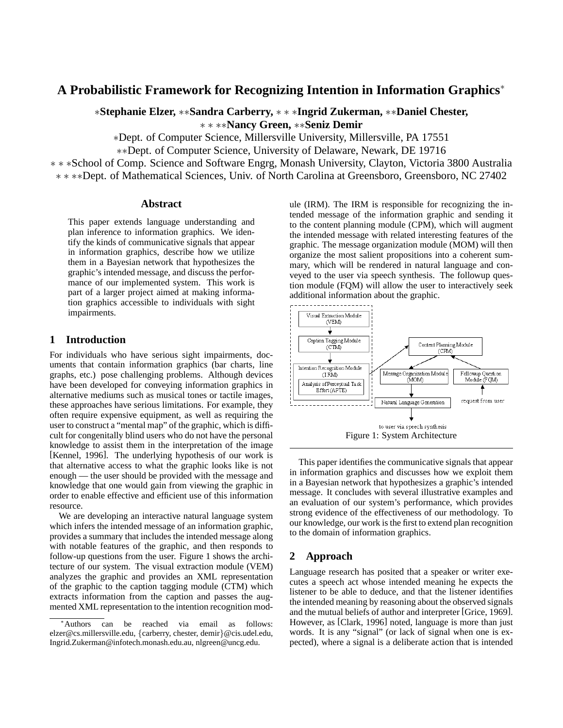# **A Probabilistic Framework for Recognizing Intention in Information Graphics**<sup>∗</sup>

∗**Stephanie Elzer,** ∗∗**Sandra Carberry,** ∗ ∗ ∗**Ingrid Zukerman,** ∗∗**Daniel Chester,** ∗ ∗ ∗∗**Nancy Green,** ∗∗**Seniz Demir**

∗Dept. of Computer Science, Millersville University, Millersville, PA 17551

∗∗Dept. of Computer Science, University of Delaware, Newark, DE 19716

∗ ∗ ∗School of Comp. Science and Software Engrg, Monash University, Clayton, Victoria 3800 Australia ∗ ∗ ∗∗Dept. of Mathematical Sciences, Univ. of North Carolina at Greensboro, Greensboro, NC 27402

#### **Abstract**

This paper extends language understanding and plan inference to information graphics. We identify the kinds of communicative signals that appear in information graphics, describe how we utilize them in a Bayesian network that hypothesizes the graphic's intended message, and discuss the performance of our implemented system. This work is part of a larger project aimed at making information graphics accessible to individuals with sight impairments.

#### **1 Introduction**

For individuals who have serious sight impairments, documents that contain information graphics (bar charts, line graphs, etc.) pose challenging problems. Although devices have been developed for conveying information graphics in alternative mediums such as musical tones or tactile images, these approaches have serious limitations. For example, they often require expensive equipment, as well as requiring the user to construct a "mental map" of the graphic, which is difficult for congenitally blind users who do not have the personal knowledge to assist them in the interpretation of the image [Kennel, 1996]. The underlying hypothesis of our work is that alternative access to what the graphic looks like is not enough — the user should be provided with the message and knowledge that one would gain from viewing the graphic in order to enable effective and efficient use of this information resource.

We are developing an interactive natural language system which infers the intended message of an information graphic, provides a summary that includes the intended message along with notable features of the graphic, and then responds to follow-up questions from the user. Figure 1 shows the architecture of our system. The visual extraction module (VEM) analyzes the graphic and provides an XML representation of the graphic to the caption tagging module (CTM) which extracts information from the caption and passes the augmented XML representation to the intention recognition module (IRM). The IRM is responsible for recognizing the intended message of the information graphic and sending it to the content planning module (CPM), which will augment the intended message with related interesting features of the graphic. The message organization module (MOM) will then organize the most salient propositions into a coherent summary, which will be rendered in natural language and conveyed to the user via speech synthesis. The followup question module (FQM) will allow the user to interactively seek additional information about the graphic.



This paper identifies the communicative signals that appear in information graphics and discusses how we exploit them in a Bayesian network that hypothesizes a graphic's intended message. It concludes with several illustrative examples and an evaluation of our system's performance, which provides strong evidence of the effectiveness of our methodology. To our knowledge, our work is the first to extend plan recognition to the domain of information graphics.

### **2 Approach**

Language research has posited that a speaker or writer executes a speech act whose intended meaning he expects the listener to be able to deduce, and that the listener identifies the intended meaning by reasoning about the observed signals and the mutual beliefs of author and interpreter [Grice, 1969]. However, as [Clark, 1996] noted, language is more than just words. It is any "signal" (or lack of signal when one is expected), where a signal is a deliberate action that is intended

<sup>∗</sup>Authors can be reached via email as follows: elzer@cs.millersville.edu, {carberry, chester, demir}@cis.udel.edu, Ingrid.Zukerman@infotech.monash.edu.au, nlgreen@uncg.edu.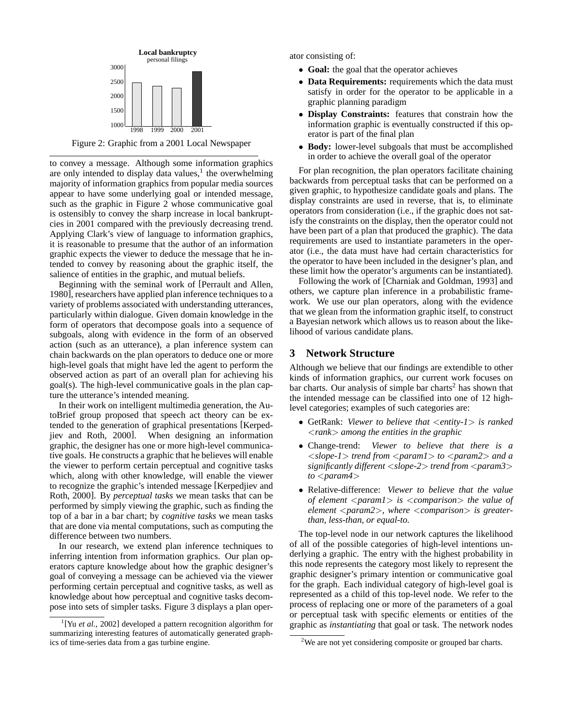

to convey a message. Although some information graphics are only intended to display data values, $<sup>1</sup>$  the overwhelming</sup> majority of information graphics from popular media sources appear to have some underlying goal or intended message, such as the graphic in Figure 2 whose communicative goal is ostensibly to convey the sharp increase in local bankruptcies in 2001 compared with the previously decreasing trend. Applying Clark's view of language to information graphics, it is reasonable to presume that the author of an information graphic expects the viewer to deduce the message that he intended to convey by reasoning about the graphic itself, the salience of entities in the graphic, and mutual beliefs.

Beginning with the seminal work of [Perrault and Allen, 1980], researchers have applied plan inference techniques to a variety of problems associated with understanding utterances, particularly within dialogue. Given domain knowledge in the form of operators that decompose goals into a sequence of subgoals, along with evidence in the form of an observed action (such as an utterance), a plan inference system can chain backwards on the plan operators to deduce one or more high-level goals that might have led the agent to perform the observed action as part of an overall plan for achieving his goal(s). The high-level communicative goals in the plan capture the utterance's intended meaning.

In their work on intelligent multimedia generation, the AutoBrief group proposed that speech act theory can be extended to the generation of graphical presentations [Kerpedjiev and Roth, 2000]. When designing an information graphic, the designer has one or more high-level communicative goals. He constructs a graphic that he believes will enable the viewer to perform certain perceptual and cognitive tasks which, along with other knowledge, will enable the viewer to recognize the graphic's intended message [Kerpedjiev and Roth, 2000]. By *perceptual tasks* we mean tasks that can be performed by simply viewing the graphic, such as finding the top of a bar in a bar chart; by *cognitive tasks* we mean tasks that are done via mental computations, such as computing the difference between two numbers.

In our research, we extend plan inference techniques to inferring intention from information graphics. Our plan operators capture knowledge about how the graphic designer's goal of conveying a message can be achieved via the viewer performing certain perceptual and cognitive tasks, as well as knowledge about how perceptual and cognitive tasks decompose into sets of simpler tasks. Figure 3 displays a plan operator consisting of:

- **Goal:** the goal that the operator achieves
- **Data Requirements:** requirements which the data must satisfy in order for the operator to be applicable in a graphic planning paradigm
- **Display Constraints:** features that constrain how the information graphic is eventually constructed if this operator is part of the final plan
- **Body:** lower-level subgoals that must be accomplished in order to achieve the overall goal of the operator

For plan recognition, the plan operators facilitate chaining backwards from perceptual tasks that can be performed on a given graphic, to hypothesize candidate goals and plans. The display constraints are used in reverse, that is, to eliminate operators from consideration (i.e., if the graphic does not satisfy the constraints on the display, then the operator could not have been part of a plan that produced the graphic). The data requirements are used to instantiate parameters in the operator (i.e., the data must have had certain characteristics for the operator to have been included in the designer's plan, and these limit how the operator's arguments can be instantiated).

Following the work of [Charniak and Goldman, 1993] and others, we capture plan inference in a probabilistic framework. We use our plan operators, along with the evidence that we glean from the information graphic itself, to construct a Bayesian network which allows us to reason about the likelihood of various candidate plans.

## **3 Network Structure**

Although we believe that our findings are extendible to other kinds of information graphics, our current work focuses on  $bar charts$ . Our analysis of simple bar charts<sup>2</sup> has shown that the intended message can be classified into one of 12 highlevel categories; examples of such categories are:

- GetRank: *Viewer to believe that* <*entity-1*> *is ranked* <*rank*> *among the entities in the graphic*
- Change-trend: *Viewer to believe that there is a* <*slope-1*> *trend from* <*param1*> *to* <*param2*> *and a significantly different* <*slope-2*> *trend from* <*param3*> *to* <*param4*>
- Relative-difference: *Viewer to believe that the value of element* <*param1*> *is* <*comparison*> *the value of element* <*param2*>*, where* <*comparison*> *is greaterthan, less-than, or equal-to.*

The top-level node in our network captures the likelihood of all of the possible categories of high-level intentions underlying a graphic. The entry with the highest probability in this node represents the category most likely to represent the graphic designer's primary intention or communicative goal for the graph. Each individual category of high-level goal is represented as a child of this top-level node. We refer to the process of replacing one or more of the parameters of a goal or perceptual task with specific elements or entities of the graphic as *instantiating* that goal or task. The network nodes

<sup>&</sup>lt;sup>1</sup>[Yu et al., 2002] developed a pattern recognition algorithm for summarizing interesting features of automatically generated graphics of time-series data from a gas turbine engine.

<sup>&</sup>lt;sup>2</sup>We are not yet considering composite or grouped bar charts.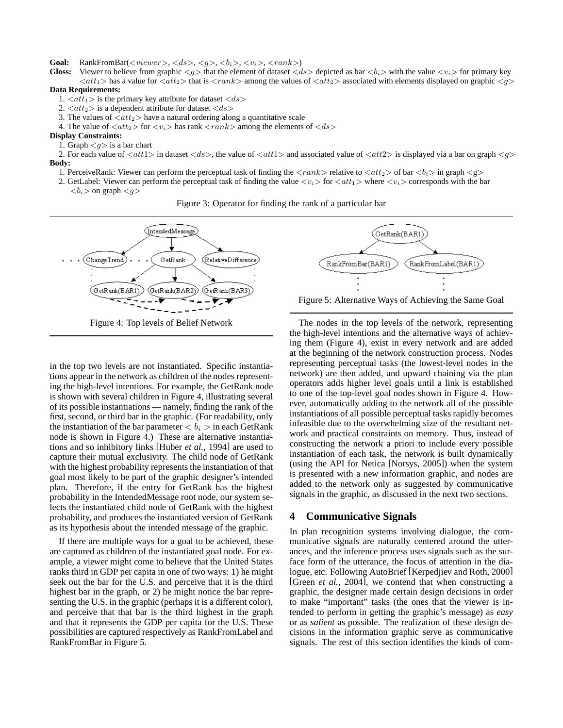**Goal:** RankFromBar( $\langle viewer \rangle$ ,  $\langle ds \rangle$ ,  $\langle g \rangle$ ,  $\langle b_i \rangle$ ,  $\langle v_i \rangle$ ,  $\langle rank \rangle$ )

**Gloss:** Viewer to believe from graphic  $\langle g \rangle$  that the element of dataset  $\langle ds \rangle$  depicted as bar  $\langle b_i \rangle$  with the value  $\langle v_i \rangle$  for primary key  $\langle \alpha t_1 \rangle$  has a value for  $\langle \alpha t_2 \rangle$  that is  $\langle \gamma \alpha t \rangle$  among the values of  $\langle \alpha t_2 \rangle$  associated with elements displayed on graphic  $\langle g \rangle$ **Data Requirements:**

- 1.  $\langle \alpha t_1 \rangle$  is the primary key attribute for dataset  $\langle ds \rangle$
- 2.  $\langle \alpha t_2 \rangle$  is a dependent attribute for dataset  $\langle ds \rangle$
- 3. The values of  $\langle \alpha t_2 \rangle$  have a natural ordering along a quantitative scale
- 4. The value of  $\langle \text{att}_2 \rangle$  for  $\langle \text{v}_i \rangle$  has rank  $\langle \text{rank} \rangle$  among the elements of  $\langle \text{ds} \rangle$

#### **Display Constraints:**

1. Graph  $\langle g \rangle$  is a bar chart

2. For each value of  $\langle att1 \rangle$  in dataset  $\langle ds \rangle$ , the value of  $\langle att1 \rangle$  and associated value of  $\langle att2 \rangle$  is displayed via a bar on graph  $\langle g \rangle$ **Body:**

- 1. PerceiveRank: Viewer can perform the perceptual task of finding the  $\langle rank \rangle$  relative to  $\langle att_2 \rangle$  of bar  $\langle b_i \rangle$  in graph  $\langle g \rangle$
- 2. GetLabel: Viewer can perform the perceptual task of finding the value  $\langle v_i \rangle$  for  $\langle \text{att}_1 \rangle$  where  $\langle v_i \rangle$  corresponds with the bar  **on graph**  $$





in the top two levels are not instantiated. Specific instantiations appear in the network as children of the nodes representing the high-level intentions. For example, the GetRank node is shown with several children in Figure 4, illustrating several of its possible instantiations — namely, finding the rank of the first, second, or third bar in the graphic. (For readability, only the instantiation of the bar parameter  $\langle b_i \rangle$  in each GetRank node is shown in Figure 4.) These are alternative instantiations and so inhibitory links [Huber *et al.*, 1994] are used to capture their mutual exclusivity. The child node of GetRank with the highest probability represents the instantiation of that goal most likely to be part of the graphic designer's intended plan. Therefore, if the entry for GetRank has the highest probability in the IntendedMessage root node, our system selects the instantiated child node of GetRank with the highest probability, and produces the instantiated version of GetRank as its hypothesis about the intended message of the graphic.

If there are multiple ways for a goal to be achieved, these are captured as children of the instantiated goal node. For example, a viewer might come to believe that the United States ranks third in GDP per capita in one of two ways: 1) he might seek out the bar for the U.S. and perceive that it is the third highest bar in the graph, or 2) he might notice the bar representing the U.S. in the graphic (perhaps it is a different color), and perceive that that bar is the third highest in the graph and that it represents the GDP per capita for the U.S. These possibilities are captured respectively as RankFromLabel and RankFromBar in Figure 5.



Figure 5: Alternative Ways of Achieving the Same Goal

The nodes in the top levels of the network, representing the high-level intentions and the alternative ways of achieving them (Figure 4), exist in every network and are added at the beginning of the network construction process. Nodes representing perceptual tasks (the lowest-level nodes in the network) are then added, and upward chaining via the plan operators adds higher level goals until a link is established to one of the top-level goal nodes shown in Figure 4. However, automatically adding to the network all of the possible instantiations of all possible perceptual tasks rapidly becomes infeasible due to the overwhelming size of the resultant network and practical constraints on memory. Thus, instead of constructing the network a priori to include every possible instantiation of each task, the network is built dynamically (using the API for Netica [Norsys, 2005]) when the system is presented with a new information graphic, and nodes are added to the network only as suggested by communicative signals in the graphic, as discussed in the next two sections.

#### **4 Communicative Signals**

In plan recognition systems involving dialogue, the communicative signals are naturally centered around the utterances, and the inference process uses signals such as the surface form of the utterance, the focus of attention in the dialogue, etc. Following AutoBrief [Kerpedjiev and Roth, 2000] [Green *et al.*, 2004], we contend that when constructing a graphic, the designer made certain design decisions in order to make "important" tasks (the ones that the viewer is intended to perform in getting the graphic's message) as *easy* or as *salient* as possible. The realization of these design decisions in the information graphic serve as communicative signals. The rest of this section identifies the kinds of com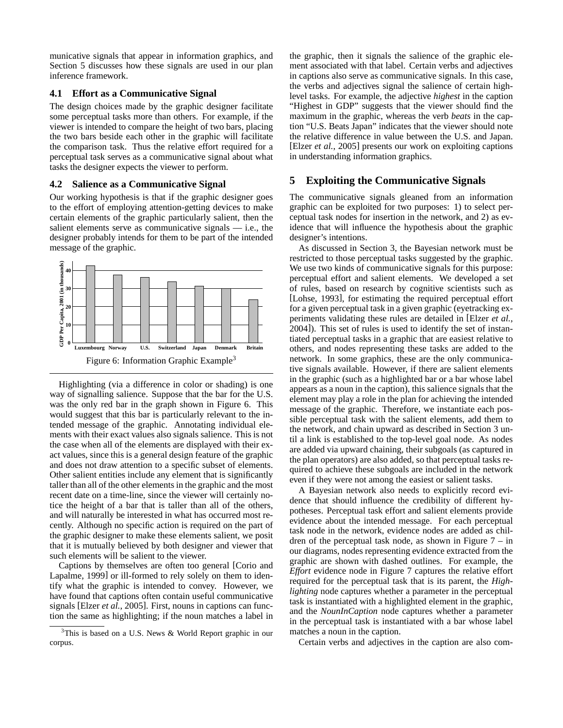municative signals that appear in information graphics, and Section 5 discusses how these signals are used in our plan inference framework.

#### **4.1 Effort as a Communicative Signal**

The design choices made by the graphic designer facilitate some perceptual tasks more than others. For example, if the viewer is intended to compare the height of two bars, placing the two bars beside each other in the graphic will facilitate the comparison task. Thus the relative effort required for a perceptual task serves as a communicative signal about what tasks the designer expects the viewer to perform.

#### **4.2 Salience as a Communicative Signal**

Our working hypothesis is that if the graphic designer goes to the effort of employing attention-getting devices to make certain elements of the graphic particularly salient, then the salient elements serve as communicative signals  $-$  i.e., the designer probably intends for them to be part of the intended message of the graphic.



Highlighting (via a difference in color or shading) is one way of signalling salience. Suppose that the bar for the U.S. was the only red bar in the graph shown in Figure 6. This would suggest that this bar is particularly relevant to the intended message of the graphic. Annotating individual elements with their exact values also signals salience. This is not the case when all of the elements are displayed with their exact values, since this is a general design feature of the graphic and does not draw attention to a specific subset of elements. Other salient entities include any element that is significantly taller than all of the other elements in the graphic and the most recent date on a time-line, since the viewer will certainly notice the height of a bar that is taller than all of the others, and will naturally be interested in what has occurred most recently. Although no specific action is required on the part of the graphic designer to make these elements salient, we posit that it is mutually believed by both designer and viewer that such elements will be salient to the viewer.

Captions by themselves are often too general [Corio and Lapalme, 1999] or ill-formed to rely solely on them to identify what the graphic is intended to convey. However, we have found that captions often contain useful communicative signals [Elzer *et al.*, 2005]. First, nouns in captions can function the same as highlighting; if the noun matches a label in the graphic, then it signals the salience of the graphic element associated with that label. Certain verbs and adjectives in captions also serve as communicative signals. In this case, the verbs and adjectives signal the salience of certain highlevel tasks. For example, the adjective *highest* in the caption "Highest in GDP" suggests that the viewer should find the maximum in the graphic, whereas the verb *beats* in the caption "U.S. Beats Japan" indicates that the viewer should note the relative difference in value between the U.S. and Japan. [Elzer *et al.*, 2005] presents our work on exploiting captions in understanding information graphics.

### **5 Exploiting the Communicative Signals**

The communicative signals gleaned from an information graphic can be exploited for two purposes: 1) to select perceptual task nodes for insertion in the network, and 2) as evidence that will influence the hypothesis about the graphic designer's intentions.

As discussed in Section 3, the Bayesian network must be restricted to those perceptual tasks suggested by the graphic. We use two kinds of communicative signals for this purpose: perceptual effort and salient elements. We developed a set of rules, based on research by cognitive scientists such as [Lohse, 1993], for estimating the required perceptual effort for a given perceptual task in a given graphic (eyetracking experiments validating these rules are detailed in [Elzer *et al.*, 2004]). This set of rules is used to identify the set of instantiated perceptual tasks in a graphic that are easiest relative to others, and nodes representing these tasks are added to the network. In some graphics, these are the only communicative signals available. However, if there are salient elements in the graphic (such as a highlighted bar or a bar whose label appears as a noun in the caption), this salience signals that the element may play a role in the plan for achieving the intended message of the graphic. Therefore, we instantiate each possible perceptual task with the salient elements, add them to the network, and chain upward as described in Section 3 until a link is established to the top-level goal node. As nodes are added via upward chaining, their subgoals (as captured in the plan operators) are also added, so that perceptual tasks required to achieve these subgoals are included in the network even if they were not among the easiest or salient tasks.

A Bayesian network also needs to explicitly record evidence that should influence the credibility of different hypotheses. Perceptual task effort and salient elements provide evidence about the intended message. For each perceptual task node in the network, evidence nodes are added as children of the perceptual task node, as shown in Figure  $7 - in$ our diagrams, nodes representing evidence extracted from the graphic are shown with dashed outlines. For example, the *Effort* evidence node in Figure 7 captures the relative effort required for the perceptual task that is its parent, the *Highlighting* node captures whether a parameter in the perceptual task is instantiated with a highlighted element in the graphic, and the *NounInCaption* node captures whether a parameter in the perceptual task is instantiated with a bar whose label matches a noun in the caption.

Certain verbs and adjectives in the caption are also com-

 $3$ This is based on a U.S. News & World Report graphic in our corpus.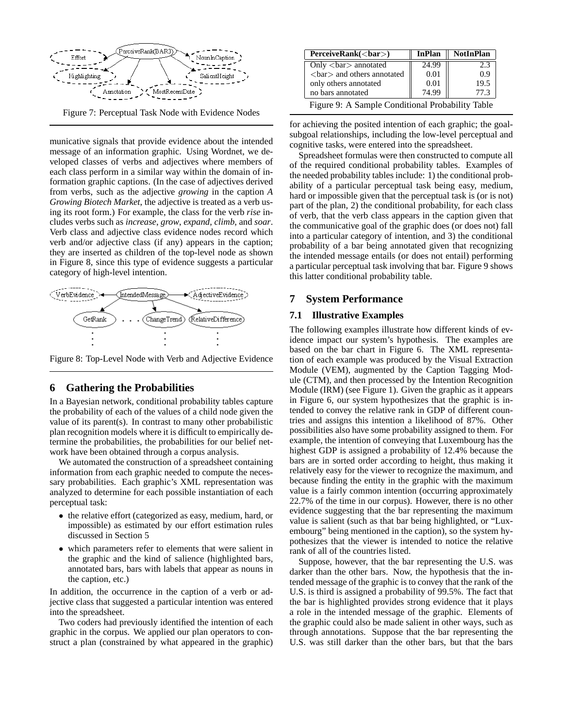

Figure 7: Perceptual Task Node with Evidence Nodes

municative signals that provide evidence about the intended message of an information graphic. Using Wordnet, we developed classes of verbs and adjectives where members of each class perform in a similar way within the domain of information graphic captions. (In the case of adjectives derived from verbs, such as the adjective *growing* in the caption *A Growing Biotech Market*, the adjective is treated as a verb using its root form.) For example, the class for the verb *rise* includes verbs such as *increase*, *grow*, *expand*, *climb*, and *soar*. Verb class and adjective class evidence nodes record which verb and/or adjective class (if any) appears in the caption; they are inserted as children of the top-level node as shown in Figure 8, since this type of evidence suggests a particular category of high-level intention.



Figure 8: Top-Level Node with Verb and Adjective Evidence

### **6 Gathering the Probabilities**

In a Bayesian network, conditional probability tables capture the probability of each of the values of a child node given the value of its parent(s). In contrast to many other probabilistic plan recognition models where it is difficult to empirically determine the probabilities, the probabilities for our belief network have been obtained through a corpus analysis.

We automated the construction of a spreadsheet containing information from each graphic needed to compute the necessary probabilities. Each graphic's XML representation was analyzed to determine for each possible instantiation of each perceptual task:

- the relative effort (categorized as easy, medium, hard, or impossible) as estimated by our effort estimation rules discussed in Section 5
- which parameters refer to elements that were salient in the graphic and the kind of salience (highlighted bars, annotated bars, bars with labels that appear as nouns in the caption, etc.)

In addition, the occurrence in the caption of a verb or adjective class that suggested a particular intention was entered into the spreadsheet.

Two coders had previously identified the intention of each graphic in the corpus. We applied our plan operators to construct a plan (constrained by what appeared in the graphic)

| PerceiveRank( <i>b</i> ar)                   | InPlan | <b>NotInPlan</b> |
|----------------------------------------------|--------|------------------|
| Only $\langle$ bar $\rangle$ annotated       | 24.99  | 2.3              |
| $\langle$ bar $\rangle$ and others annotated | 0.01   | 0.9              |
| only others annotated                        | 0.01   | 19.5             |
| no bars annotated                            | 74.99  | 77.3             |

Figure 9: A Sample Conditional Probability Table

for achieving the posited intention of each graphic; the goalsubgoal relationships, including the low-level perceptual and cognitive tasks, were entered into the spreadsheet.

Spreadsheet formulas were then constructed to compute all of the required conditional probability tables. Examples of the needed probability tables include: 1) the conditional probability of a particular perceptual task being easy, medium, hard or impossible given that the perceptual task is (or is not) part of the plan, 2) the conditional probability, for each class of verb, that the verb class appears in the caption given that the communicative goal of the graphic does (or does not) fall into a particular category of intention, and 3) the conditional probability of a bar being annotated given that recognizing the intended message entails (or does not entail) performing a particular perceptual task involving that bar. Figure 9 shows this latter conditional probability table.

### **7 System Performance**

#### **7.1 Illustrative Examples**

The following examples illustrate how different kinds of evidence impact our system's hypothesis. The examples are based on the bar chart in Figure 6. The XML representation of each example was produced by the Visual Extraction Module (VEM), augmented by the Caption Tagging Module (CTM), and then processed by the Intention Recognition Module (IRM) (see Figure 1). Given the graphic as it appears in Figure 6, our system hypothesizes that the graphic is intended to convey the relative rank in GDP of different countries and assigns this intention a likelihood of 87%. Other possibilities also have some probability assigned to them. For example, the intention of conveying that Luxembourg has the highest GDP is assigned a probability of 12.4% because the bars are in sorted order according to height, thus making it relatively easy for the viewer to recognize the maximum, and because finding the entity in the graphic with the maximum value is a fairly common intention (occurring approximately 22.7% of the time in our corpus). However, there is no other evidence suggesting that the bar representing the maximum value is salient (such as that bar being highlighted, or "Luxembourg" being mentioned in the caption), so the system hypothesizes that the viewer is intended to notice the relative rank of all of the countries listed.

Suppose, however, that the bar representing the U.S. was darker than the other bars. Now, the hypothesis that the intended message of the graphic is to convey that the rank of the U.S. is third is assigned a probability of 99.5%. The fact that the bar is highlighted provides strong evidence that it plays a role in the intended message of the graphic. Elements of the graphic could also be made salient in other ways, such as through annotations. Suppose that the bar representing the U.S. was still darker than the other bars, but that the bars